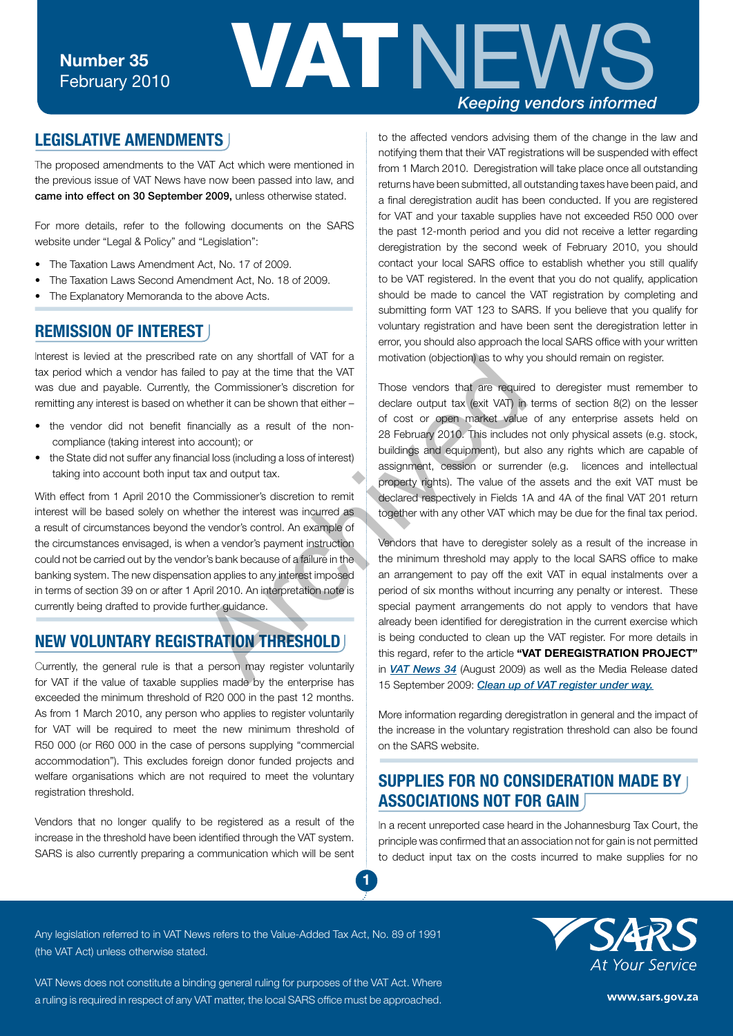

### **LEGISLATIVE AMENDMENTS**

The proposed amendments to the VAT Act which were mentioned in the previous issue of VAT News have now been passed into law, and came into effect on 30 September 2009, unless otherwise stated.

For more details, refer to the following documents on the SARS website under "Legal & Policy" and "Legislation":

- The Taxation Laws Amendment Act, No. 17 of 2009.
- The Taxation Laws Second Amendment Act, No. 18 of 2009.
- The Explanatory Memoranda to the above Acts.

#### **REMISSION OF INTEREST**

Interest is levied at the prescribed rate on any shortfall of VAT for a tax period which a vendor has failed to pay at the time that the VAT was due and payable. Currently, the Commissioner's discretion for remitting any interest is based on whether it can be shown that either –

- the vendor did not benefit financially as a result of the noncompliance (taking interest into account); or
- the State did not suffer any financial loss (including a loss of interest) taking into account both input tax and output tax.

With effect from 1 April 2010 the Commissioner's discretion to remit interest will be based solely on whether the interest was incurred as a result of circumstances beyond the vendor's control. An example of the circumstances envisaged, is when a vendor's payment instruction could not be carried out by the vendor's bank because of a failure in the banking system. The new dispensation applies to any interest imposed in terms of section 39 on or after 1 April 2010. An interpretation note is currently being drafted to provide further guidance.

# **NEW VOLUNTARY REGISTRATION THRESHOLD**

Currently, the general rule is that a person may register voluntarily for VAT if the value of taxable supplies made by the enterprise has exceeded the minimum threshold of R20 000 in the past 12 months. As from 1 March 2010, any person who applies to register voluntarily for VAT will be required to meet the new minimum threshold of R50 000 (or R60 000 in the case of persons supplying "commercial accommodation"). This excludes foreign donor funded projects and welfare organisations which are not required to meet the voluntary registration threshold.

Vendors that no longer qualify to be registered as a result of the increase in the threshold have been identified through the VAT system. SARS is also currently preparing a communication which will be sent to the affected vendors advising them of the change in the law and notifying them that their VAT registrations will be suspended with effect from 1 March 2010. Deregistration will take place once all outstanding returns have been submitted, all outstanding taxes have been paid, and a final deregistration audit has been conducted. If you are registered for VAT and your taxable supplies have not exceeded R50 000 over the past 12-month period and you did not receive a letter regarding deregistration by the second week of February 2010, you should contact your local SARS office to establish whether you still qualify to be VAT registered. In the event that you do not qualify, application should be made to cancel the VAT registration by completing and submitting form VAT 123 to SARS. If you believe that you qualify for voluntary registration and have been sent the deregistration letter in error, you should also approach the local SARS office with your written motivation (objection) as to why you should remain on register.

Those vendors that are required to deregister must remember to declare output tax (exit VAT) in terms of section 8(2) on the lesser of cost or open market value of any enterprise assets held on 28 February 2010. This includes not only physical assets (e.g. stock, buildings and equipment), but also any rights which are capable of assignment, cession or surrender (e.g. licences and intellectual property rights). The value of the assets and the exit VAT must be declared respectively in Fields 1A and 4A of the final VAT 201 return together with any other VAT which may be due for the final tax period.

Vendors that have to deregister solely as a result of the increase in the minimum threshold may apply to the local SARS office to make an arrangement to pay off the exit VAT in equal instalments over a period of six months without incurring any penalty or interest. These special payment arrangements do not apply to vendors that have already been identified for deregistration in the current exercise which is being conducted to clean up the VAT register. For more details in this regard, refer to the article **"VAT DEREGISTRATION PROJECT"** in *VAT News 34* (August 2009) as well as the Media Release dated 15 September 2009: *[Clean up of VAT register under way.](http://www.sars.gov.za/home.asp?PID=4232&ToolID=2&ItemID=51368)* rate on any shortfall of VAT for a<br>
and to pay at the time that the VAT<br>
the Commissioner's discretion for<br>
there it can be shown that either-<br>
account); or<br>
account); or<br>
account); or<br>
account); or<br>
account); or<br>
account)

> More information regarding deregistratlon in general and the impact of the increase in the voluntary registration threshold can also be found on the SARS website.

## **SUPPLIES FOR NO CONSIDERATION MADE BY ASSOCIATIONS NOT FOR GAIN**

In a recent unreported case heard in the Johannesburg Tax Court, the principle was confirmed that an association not for gain is not permitted to deduct input tax on the costs incurred to make supplies for no

Any legislation referred to in VAT News refers to the Value-Added Tax Act, No. 89 of 1991 (the VAT Act) unless otherwise stated.

**1**

VAT News does not constitute a binding general ruling for purposes of the VAT Act. Where a ruling is required in respect of any VAT matter, the local SARS office must be approached.



www.sars.gov.za